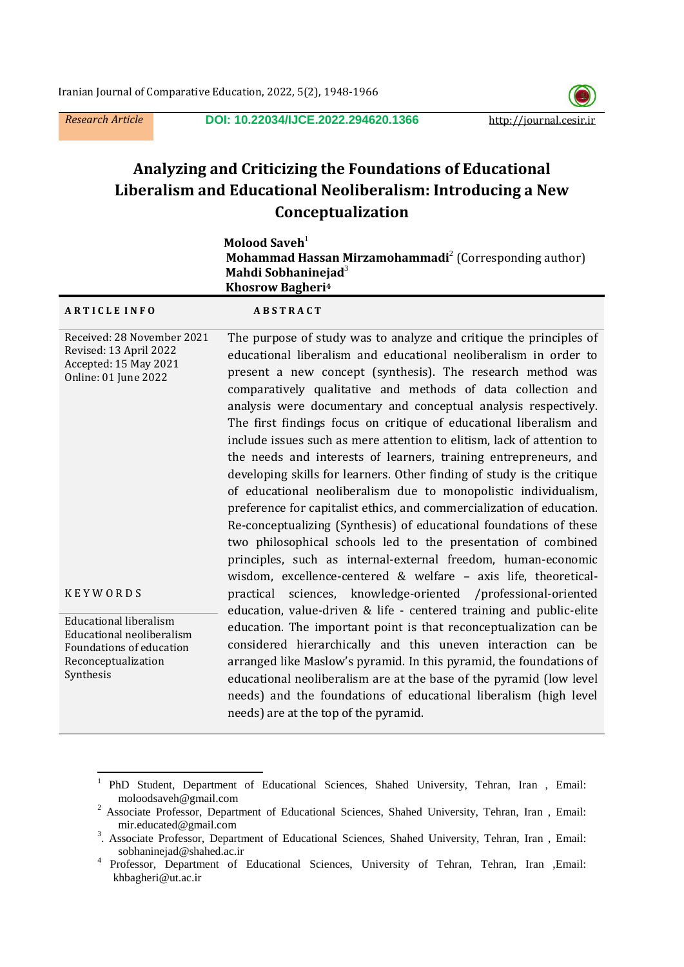$\overline{a}$ 

*Research Article* **DOI: [10.22034/IJCE.2022.294620.1366](https://dx.doi.org/10.22034/ijce.2022.294620.1366)** http://journal.cesir.ir



# **Analyzing and Criticizing the Foundations of Educational Liberalism and Educational Neoliberalism: Introducing a New Conceptualization**

|                                                                                                              | Molood Saveh <sup>1</sup><br>Mohammad Hassan Mirzamohammadi <sup>2</sup> (Corresponding author)<br>Mahdi Sobhaninejad <sup>3</sup><br><b>Khosrow Bagheri<sup>4</sup></b>                                                                                                                                                                                                                                                                                                                                                                                                                                                                                                                                                                                                                                                                                                                                                                                                                  |
|--------------------------------------------------------------------------------------------------------------|-------------------------------------------------------------------------------------------------------------------------------------------------------------------------------------------------------------------------------------------------------------------------------------------------------------------------------------------------------------------------------------------------------------------------------------------------------------------------------------------------------------------------------------------------------------------------------------------------------------------------------------------------------------------------------------------------------------------------------------------------------------------------------------------------------------------------------------------------------------------------------------------------------------------------------------------------------------------------------------------|
| <b>ARTICLE INFO</b>                                                                                          | <b>ABSTRACT</b>                                                                                                                                                                                                                                                                                                                                                                                                                                                                                                                                                                                                                                                                                                                                                                                                                                                                                                                                                                           |
| Received: 28 November 2021<br>Revised: 13 April 2022<br>Accepted: 15 May 2021<br><b>Online: 01 June 2022</b> | The purpose of study was to analyze and critique the principles of<br>educational liberalism and educational neoliberalism in order to<br>present a new concept (synthesis). The research method was<br>comparatively qualitative and methods of data collection and<br>analysis were documentary and conceptual analysis respectively.<br>The first findings focus on critique of educational liberalism and<br>include issues such as mere attention to elitism, lack of attention to<br>the needs and interests of learners, training entrepreneurs, and<br>developing skills for learners. Other finding of study is the critique<br>of educational neoliberalism due to monopolistic individualism,<br>preference for capitalist ethics, and commercialization of education.<br>Re-conceptualizing (Synthesis) of educational foundations of these<br>two philosophical schools led to the presentation of combined<br>principles, such as internal-external freedom, human-economic |
| <b>KEYWORDS</b><br><b>Educational liberalism</b>                                                             | wisdom, excellence-centered & welfare - axis life, theoretical-<br>sciences, knowledge-oriented /professional-oriented<br>practical<br>education, value-driven & life - centered training and public-elite                                                                                                                                                                                                                                                                                                                                                                                                                                                                                                                                                                                                                                                                                                                                                                                |
| Educational neoliberalism<br>Foundations of education<br>Reconceptualization<br>Synthesis                    | education. The important point is that reconceptualization can be<br>considered hierarchically and this uneven interaction can be<br>arranged like Maslow's pyramid. In this pyramid, the foundations of<br>educational neoliberalism are at the base of the pyramid (low level<br>needs) and the foundations of educational liberalism (high level<br>needs) are at the top of the pyramid.                                                                                                                                                                                                                                                                                                                                                                                                                                                                                                                                                                                              |
|                                                                                                              |                                                                                                                                                                                                                                                                                                                                                                                                                                                                                                                                                                                                                                                                                                                                                                                                                                                                                                                                                                                           |

<sup>1</sup> PhD Student, Department of Educational Sciences, Shahed University, Tehran, Iran , Email: moloodsaveh@gmail.com

<sup>&</sup>lt;sup>2</sup> Associate Professor, Department of Educational Sciences, Shahed University, Tehran, Iran , Email: mir.educated@gmail.com

<sup>&</sup>lt;sup>3</sup>. Associate Professor, Department of Educational Sciences, Shahed University, Tehran, Iran, Email: sobhaninejad@shahed.ac.ir

<sup>4</sup> Professor, Department of Educational Sciences, University of Tehran, Tehran, Iran ,Email: khbagheri@ut.ac.ir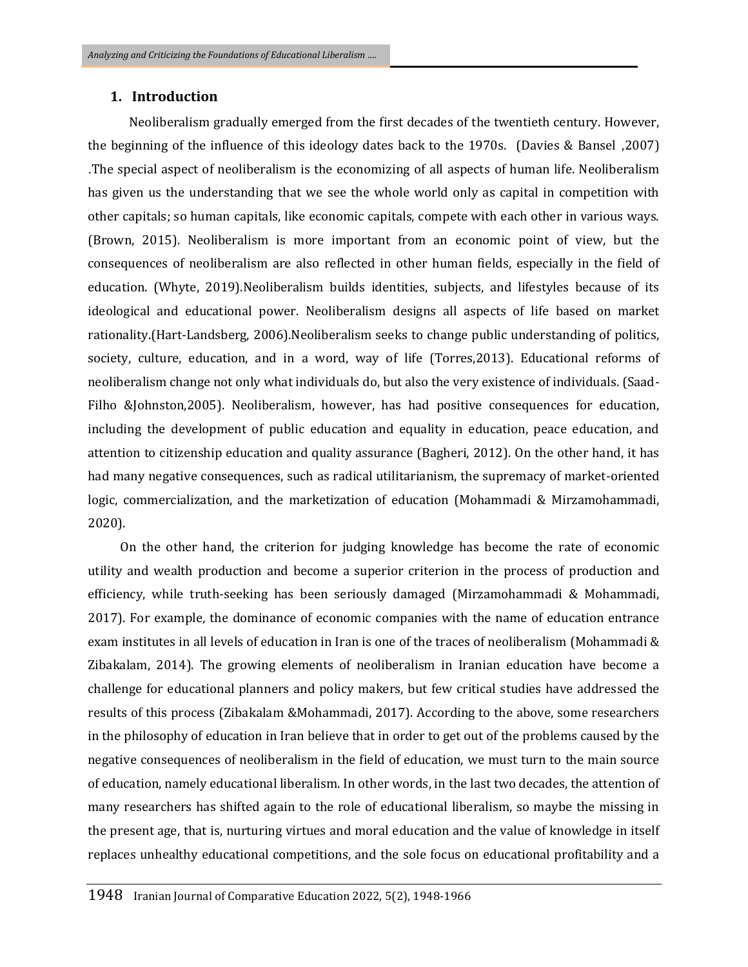#### **1. Introduction**

 Neoliberalism gradually emerged from the first decades of the twentieth century. However, the beginning of the influence of this ideology dates back to the 1970s. (Davies & Bansel ,2007) .The special aspect of neoliberalism is the economizing of all aspects of human life. Neoliberalism has given us the understanding that we see the whole world only as capital in competition with other capitals; so human capitals, like economic capitals, compete with each other in various ways. (Brown, 2015). Neoliberalism is more important from an economic point of view, but the consequences of neoliberalism are also reflected in other human fields, especially in the field of education. (Whyte, 2019).Neoliberalism builds identities, subjects, and lifestyles because of its ideological and educational power. Neoliberalism designs all aspects of life based on market rationality.(Hart-Landsberg, 2006).Neoliberalism seeks to change public understanding of politics, society, culture, education, and in a word, way of life (Torres,2013). Educational reforms of neoliberalism change not only what individuals do, but also the very existence of individuals. (Saad‐ Filho &Johnston,2005). Neoliberalism, however, has had positive consequences for education, including the development of public education and equality in education, peace education, and attention to citizenship education and quality assurance (Bagheri, 2012). On the other hand, it has had many negative consequences, such as radical utilitarianism, the supremacy of market-oriented logic, commercialization, and the marketization of education (Mohammadi & Mirzamohammadi, 2020).

 On the other hand, the criterion for judging knowledge has become the rate of economic utility and wealth production and become a superior criterion in the process of production and efficiency, while truth-seeking has been seriously damaged (Mirzamohammadi & Mohammadi, 2017). For example, the dominance of economic companies with the name of education entrance exam institutes in all levels of education in Iran is one of the traces of neoliberalism (Mohammadi & Zibakalam, 2014). The growing elements of neoliberalism in Iranian education have become a challenge for educational planners and policy makers, but few critical studies have addressed the results of this process (Zibakalam &Mohammadi, 2017). According to the above, some researchers in the philosophy of education in Iran believe that in order to get out of the problems caused by the negative consequences of neoliberalism in the field of education, we must turn to the main source of education, namely educational liberalism. In other words, in the last two decades, the attention of many researchers has shifted again to the role of educational liberalism, so maybe the missing in the present age, that is, nurturing virtues and moral education and the value of knowledge in itself replaces unhealthy educational competitions, and the sole focus on educational profitability and a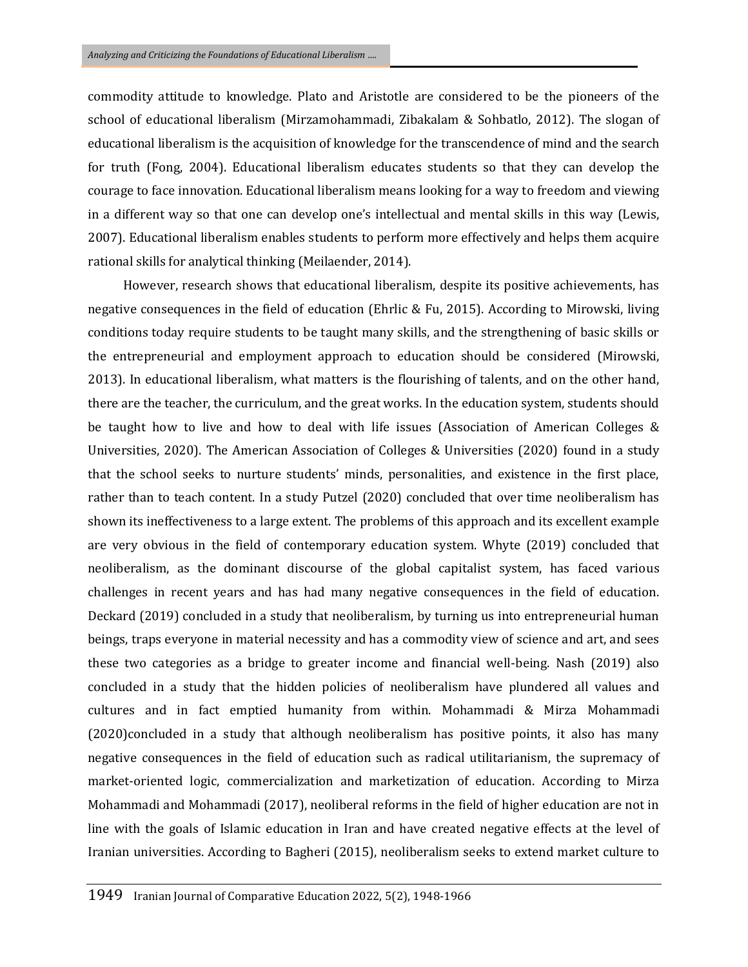commodity attitude to knowledge. Plato and Aristotle are considered to be the pioneers of the school of educational liberalism (Mirzamohammadi, Zibakalam & Sohbatlo, 2012). The slogan of educational liberalism is the acquisition of knowledge for the transcendence of mind and the search for truth (Fong, 2004). Educational liberalism educates students so that they can develop the courage to face innovation. Educational liberalism means looking for a way to freedom and viewing in a different way so that one can develop one's intellectual and mental skills in this way (Lewis, 2007). Educational liberalism enables students to perform more effectively and helps them acquire rational skills for analytical thinking (Meilaender, 2014).

 However, research shows that educational liberalism, despite its positive achievements, has negative consequences in the field of education (Ehrlic & Fu, 2015). According to Mirowski, living conditions today require students to be taught many skills, and the strengthening of basic skills or the entrepreneurial and employment approach to education should be considered (Mirowski, 2013). In educational liberalism, what matters is the flourishing of talents, and on the other hand, there are the teacher, the curriculum, and the great works. In the education system, students should be taught how to live and how to deal with life issues (Association of American Colleges & Universities, 2020). The American Association of Colleges & Universities (2020) found in a study that the school seeks to nurture students' minds, personalities, and existence in the first place, rather than to teach content. In a study Putzel (2020) concluded that over time neoliberalism has shown its ineffectiveness to a large extent. The problems of this approach and its excellent example are very obvious in the field of contemporary education system. Whyte (2019) concluded that neoliberalism, as the dominant discourse of the global capitalist system, has faced various challenges in recent years and has had many negative consequences in the field of education. Deckard (2019) concluded in a study that neoliberalism, by turning us into entrepreneurial human beings, traps everyone in material necessity and has a commodity view of science and art, and sees these two categories as a bridge to greater income and financial well-being. Nash (2019) also concluded in a study that the hidden policies of neoliberalism have plundered all values and cultures and in fact emptied humanity from within. Mohammadi & Mirza Mohammadi (2020)concluded in a study that although neoliberalism has positive points, it also has many negative consequences in the field of education such as radical utilitarianism, the supremacy of market-oriented logic, commercialization and marketization of education. According to Mirza Mohammadi and Mohammadi (2017), neoliberal reforms in the field of higher education are not in line with the goals of Islamic education in Iran and have created negative effects at the level of Iranian universities. According to Bagheri (2015), neoliberalism seeks to extend market culture to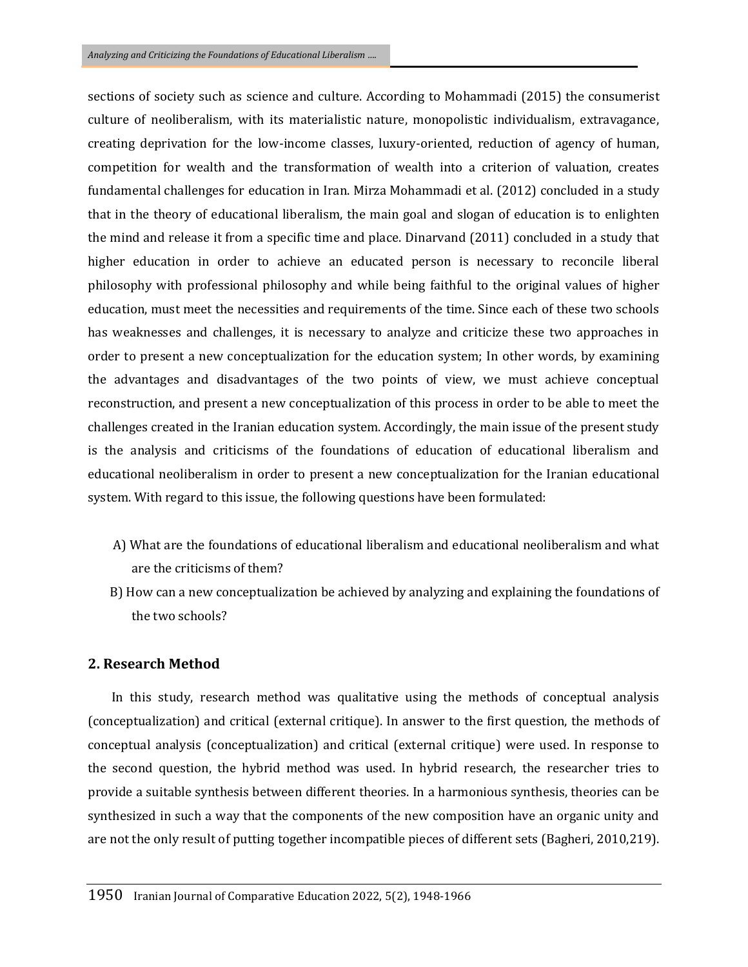sections of society such as science and culture. According to Mohammadi (2015) the consumerist culture of neoliberalism, with its materialistic nature, monopolistic individualism, extravagance, creating deprivation for the low-income classes, luxury-oriented, reduction of agency of human, competition for wealth and the transformation of wealth into a criterion of valuation, creates fundamental challenges for education in Iran. Mirza Mohammadi et al. (2012) concluded in a study that in the theory of educational liberalism, the main goal and slogan of education is to enlighten the mind and release it from a specific time and place. Dinarvand (2011) concluded in a study that higher education in order to achieve an educated person is necessary to reconcile liberal philosophy with professional philosophy and while being faithful to the original values of higher education, must meet the necessities and requirements of the time. Since each of these two schools has weaknesses and challenges, it is necessary to analyze and criticize these two approaches in order to present a new conceptualization for the education system; In other words, by examining the advantages and disadvantages of the two points of view, we must achieve conceptual reconstruction, and present a new conceptualization of this process in order to be able to meet the challenges created in the Iranian education system. Accordingly, the main issue of the present study is the analysis and criticisms of the foundations of education of educational liberalism and educational neoliberalism in order to present a new conceptualization for the Iranian educational system. With regard to this issue, the following questions have been formulated:

- A) What are the foundations of educational liberalism and educational neoliberalism and what are the criticisms of them?
- B) How can a new conceptualization be achieved by analyzing and explaining the foundations of the two schools?

#### **2. Research Method**

 In this study, research method was qualitative using the methods of conceptual analysis (conceptualization) and critical (external critique). In answer to the first question, the methods of conceptual analysis (conceptualization) and critical (external critique) were used. In response to the second question, the hybrid method was used. In hybrid research, the researcher tries to provide a suitable synthesis between different theories. In a harmonious synthesis, theories can be synthesized in such a way that the components of the new composition have an organic unity and are not the only result of putting together incompatible pieces of different sets (Bagheri, 2010,219).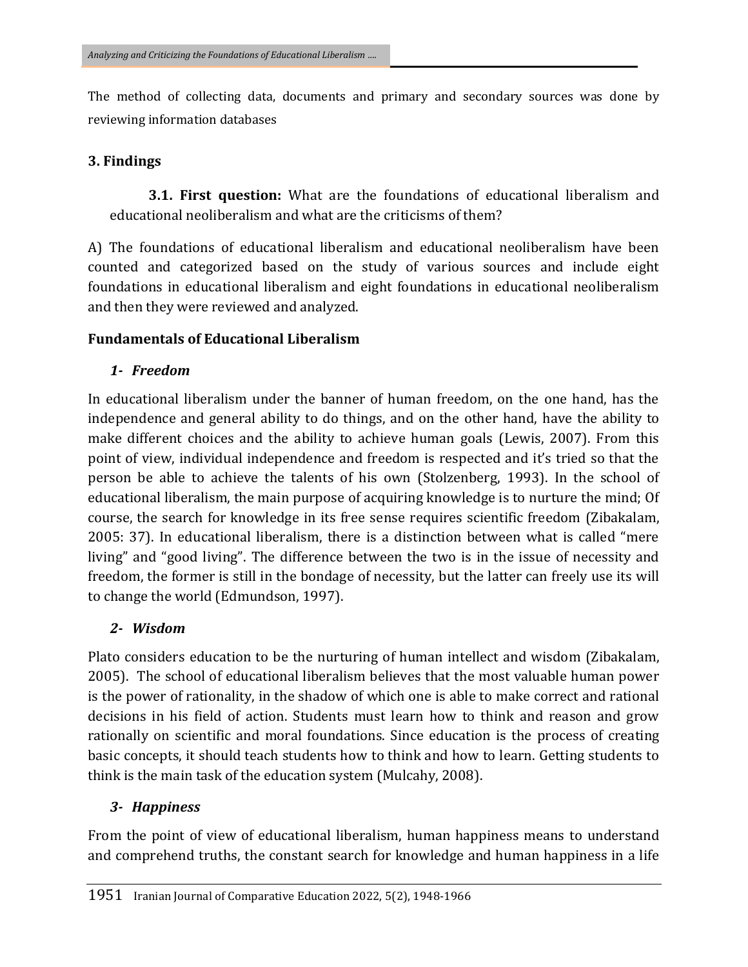The method of collecting data, documents and primary and secondary sources was done by reviewing information databases

#### **3. Findings**

 **3.1. First question:** What are the foundations of educational liberalism and educational neoliberalism and what are the criticisms of them?

A) The foundations of educational liberalism and educational neoliberalism have been counted and categorized based on the study of various sources and include eight foundations in educational liberalism and eight foundations in educational neoliberalism and then they were reviewed and analyzed.

#### **Fundamentals of Educational Liberalism**

#### *1- Freedom*

In educational liberalism under the banner of human freedom, on the one hand, has the independence and general ability to do things, and on the other hand, have the ability to make different choices and the ability to achieve human goals (Lewis, 2007). From this point of view, individual independence and freedom is respected and it's tried so that the person be able to achieve the talents of his own (Stolzenberg, 1993). In the school of educational liberalism, the main purpose of acquiring knowledge is to nurture the mind; Of course, the search for knowledge in its free sense requires scientific freedom (Zibakalam, 2005: 37). In educational liberalism, there is a distinction between what is called "mere living" and "good living". The difference between the two is in the issue of necessity and freedom, the former is still in the bondage of necessity, but the latter can freely use its will to change the world (Edmundson, 1997).

### *2- Wisdom*

Plato considers education to be the nurturing of human intellect and wisdom (Zibakalam, 2005). The school of educational liberalism believes that the most valuable human power is the power of rationality, in the shadow of which one is able to make correct and rational decisions in his field of action. Students must learn how to think and reason and grow rationally on scientific and moral foundations. Since education is the process of creating basic concepts, it should teach students how to think and how to learn. Getting students to think is the main task of the education system (Mulcahy, 2008).

### *3- Happiness*

From the point of view of educational liberalism, human happiness means to understand and comprehend truths, the constant search for knowledge and human happiness in a life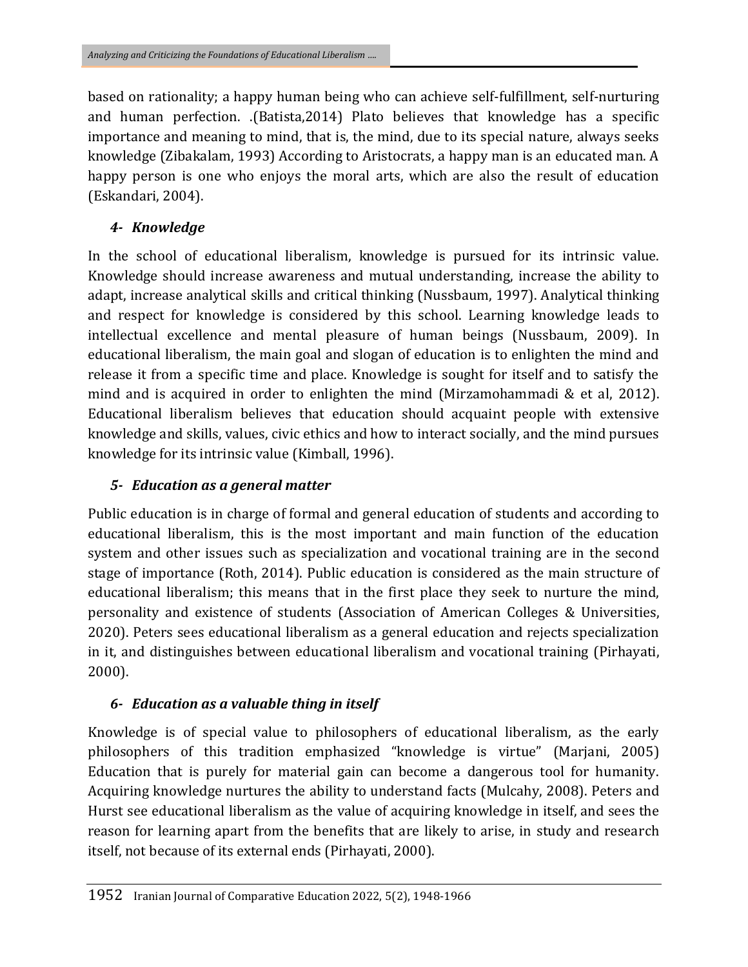based on rationality; a happy human being who can achieve self-fulfillment, self-nurturing and human perfection. .(Batista,2014) Plato believes that knowledge has a specific importance and meaning to mind, that is, the mind, due to its special nature, always seeks knowledge (Zibakalam, 1993) According to Aristocrats, a happy man is an educated man. A happy person is one who enjoys the moral arts, which are also the result of education (Eskandari, 2004).

## *4- Knowledge*

In the school of educational liberalism, knowledge is pursued for its intrinsic value. Knowledge should increase awareness and mutual understanding, increase the ability to adapt, increase analytical skills and critical thinking (Nussbaum, 1997). Analytical thinking and respect for knowledge is considered by this school. Learning knowledge leads to intellectual excellence and mental pleasure of human beings (Nussbaum, 2009). In educational liberalism, the main goal and slogan of education is to enlighten the mind and release it from a specific time and place. Knowledge is sought for itself and to satisfy the mind and is acquired in order to enlighten the mind (Mirzamohammadi & et al, 2012). Educational liberalism believes that education should acquaint people with extensive knowledge and skills, values, civic ethics and how to interact socially, and the mind pursues knowledge for its intrinsic value (Kimball, 1996).

## *5- Education as a general matter*

Public education is in charge of formal and general education of students and according to educational liberalism, this is the most important and main function of the education system and other issues such as specialization and vocational training are in the second stage of importance (Roth, 2014). Public education is considered as the main structure of educational liberalism; this means that in the first place they seek to nurture the mind, personality and existence of students (Association of American Colleges & Universities, 2020). Peters sees educational liberalism as a general education and rejects specialization in it, and distinguishes between educational liberalism and vocational training (Pirhayati, 2000).

## *6- Education as a valuable thing in itself*

Knowledge is of special value to philosophers of educational liberalism, as the early philosophers of this tradition emphasized "knowledge is virtue" (Marjani, 2005) Education that is purely for material gain can become a dangerous tool for humanity. Acquiring knowledge nurtures the ability to understand facts (Mulcahy, 2008). Peters and Hurst see educational liberalism as the value of acquiring knowledge in itself, and sees the reason for learning apart from the benefits that are likely to arise, in study and research itself, not because of its external ends (Pirhayati, 2000).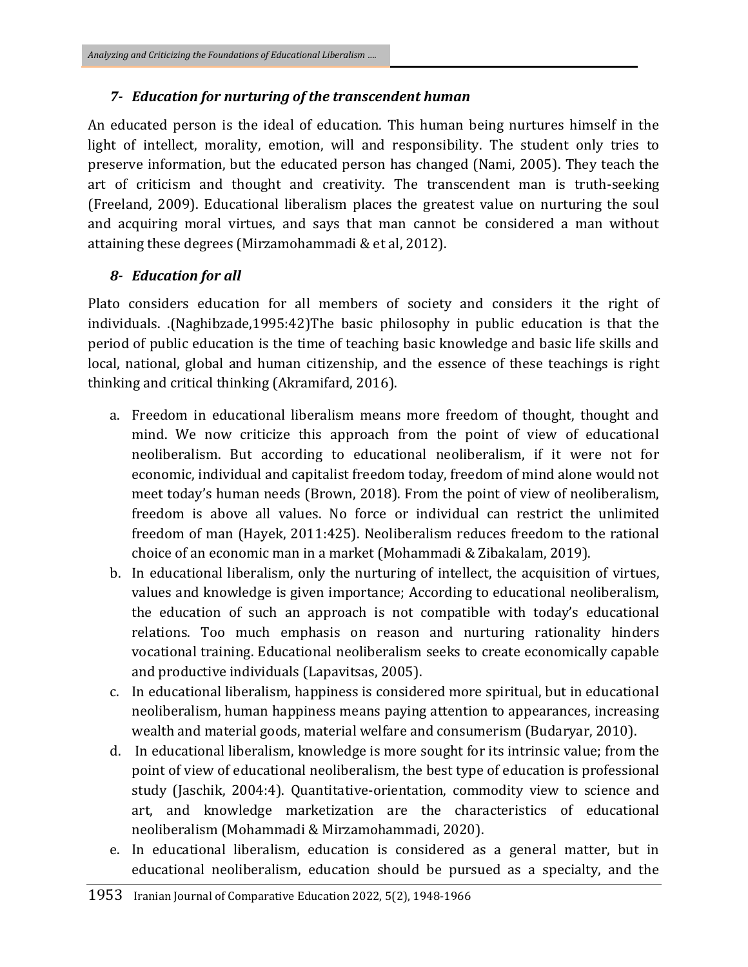#### *7- Education for nurturing of the transcendent human*

An educated person is the ideal of education. This human being nurtures himself in the light of intellect, morality, emotion, will and responsibility. The student only tries to preserve information, but the educated person has changed (Nami, 2005). They teach the art of criticism and thought and creativity. The transcendent man is truth-seeking (Freeland, 2009). Educational liberalism places the greatest value on nurturing the soul and acquiring moral virtues, and says that man cannot be considered a man without attaining these degrees (Mirzamohammadi & et al, 2012).

#### *8- Education for all*

Plato considers education for all members of society and considers it the right of individuals. .(Naghibzade,1995:42)The basic philosophy in public education is that the period of public education is the time of teaching basic knowledge and basic life skills and local, national, global and human citizenship, and the essence of these teachings is right thinking and critical thinking (Akramifard, 2016).

- a. Freedom in educational liberalism means more freedom of thought, thought and mind. We now criticize this approach from the point of view of educational neoliberalism. But according to educational neoliberalism, if it were not for economic, individual and capitalist freedom today, freedom of mind alone would not meet today's human needs (Brown, 2018). From the point of view of neoliberalism, freedom is above all values. No force or individual can restrict the unlimited freedom of man (Hayek, 2011:425). Neoliberalism reduces freedom to the rational choice of an economic man in a market (Mohammadi & Zibakalam, 2019).
- b. In educational liberalism, only the nurturing of intellect, the acquisition of virtues, values and knowledge is given importance; According to educational neoliberalism, the education of such an approach is not compatible with today's educational relations. Too much emphasis on reason and nurturing rationality hinders vocational training. Educational neoliberalism seeks to create economically capable and productive individuals (Lapavitsas, 2005).
- c. In educational liberalism, happiness is considered more spiritual, but in educational neoliberalism, human happiness means paying attention to appearances, increasing wealth and material goods, material welfare and consumerism (Budaryar, 2010).
- d. In educational liberalism, knowledge is more sought for its intrinsic value; from the point of view of educational neoliberalism, the best type of education is professional study (Jaschik, 2004:4). Quantitative-orientation, commodity view to science and art, and knowledge marketization are the characteristics of educational neoliberalism (Mohammadi & Mirzamohammadi, 2020).
- e. In educational liberalism, education is considered as a general matter, but in educational neoliberalism, education should be pursued as a specialty, and the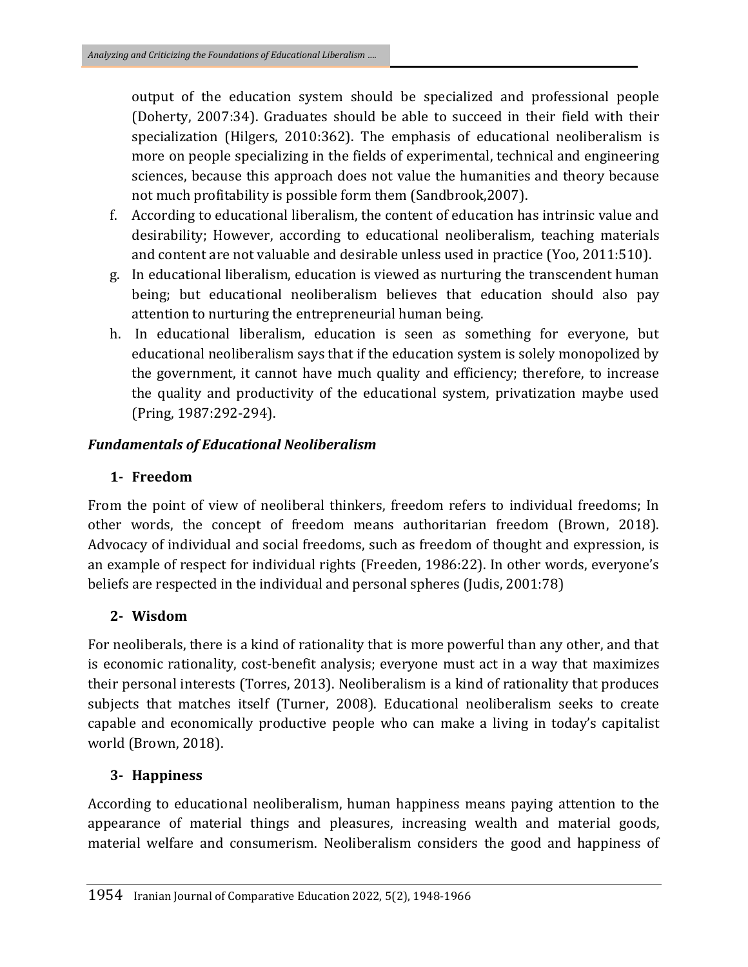output of the education system should be specialized and professional people (Doherty, 2007:34). Graduates should be able to succeed in their field with their specialization (Hilgers, 2010:362). The emphasis of educational neoliberalism is more on people specializing in the fields of experimental, technical and engineering sciences, because this approach does not value the humanities and theory because not much profitability is possible form them (Sandbrook,2007).

- f. According to educational liberalism, the content of education has intrinsic value and desirability; However, according to educational neoliberalism, teaching materials and content are not valuable and desirable unless used in practice (Yoo, 2011:510).
- g. In educational liberalism, education is viewed as nurturing the transcendent human being; but educational neoliberalism believes that education should also pay attention to nurturing the entrepreneurial human being.
- h. In educational liberalism, education is seen as something for everyone, but educational neoliberalism says that if the education system is solely monopolized by the government, it cannot have much quality and efficiency; therefore, to increase the quality and productivity of the educational system, privatization maybe used (Pring, 1987:292-294).

### *Fundamentals of Educational Neoliberalism*

### **1- Freedom**

From the point of view of neoliberal thinkers, freedom refers to individual freedoms; In other words, the concept of freedom means authoritarian freedom (Brown, 2018). Advocacy of individual and social freedoms, such as freedom of thought and expression, is an example of respect for individual rights (Freeden, 1986:22). In other words, everyone's beliefs are respected in the individual and personal spheres (Judis, 2001:78)

### **2- Wisdom**

For neoliberals, there is a kind of rationality that is more powerful than any other, and that is economic rationality, cost-benefit analysis; everyone must act in a way that maximizes their personal interests (Torres, 2013). Neoliberalism is a kind of rationality that produces subjects that matches itself (Turner, 2008). Educational neoliberalism seeks to create capable and economically productive people who can make a living in today's capitalist world (Brown, 2018).

### **3- Happiness**

According to educational neoliberalism, human happiness means paying attention to the appearance of material things and pleasures, increasing wealth and material goods, material welfare and consumerism. Neoliberalism considers the good and happiness of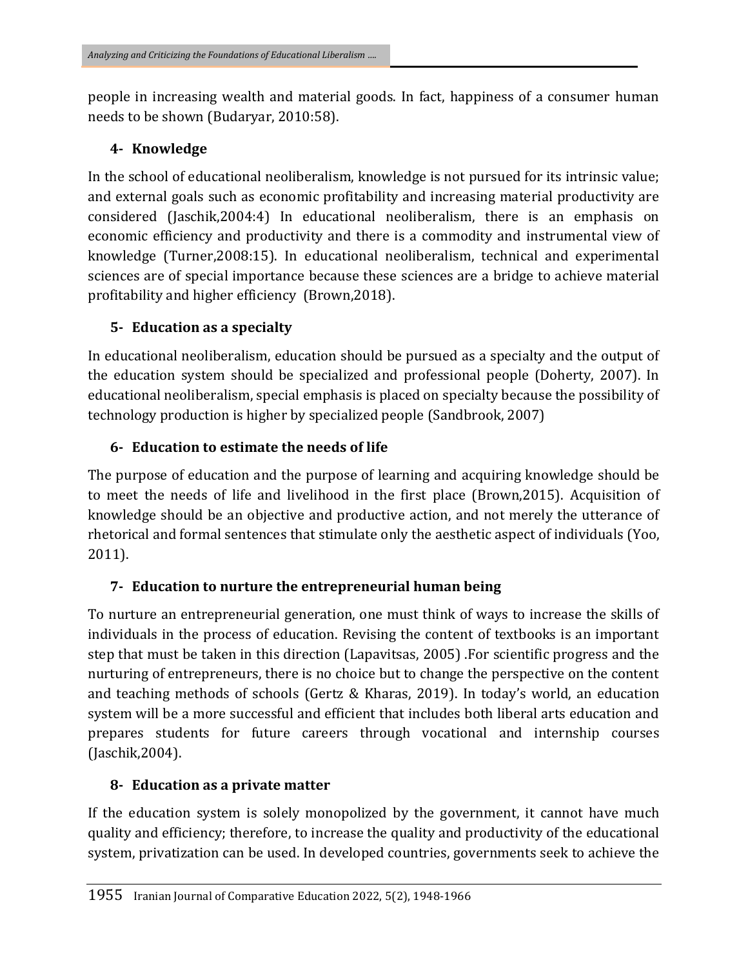people in increasing wealth and material goods. In fact, happiness of a consumer human needs to be shown (Budaryar, 2010:58).

## **4- Knowledge**

In the school of educational neoliberalism, knowledge is not pursued for its intrinsic value; and external goals such as economic profitability and increasing material productivity are considered (Jaschik,2004:4) In educational neoliberalism, there is an emphasis on economic efficiency and productivity and there is a commodity and instrumental view of knowledge (Turner,2008:15). In educational neoliberalism, technical and experimental sciences are of special importance because these sciences are a bridge to achieve material profitability and higher efficiency (Brown,2018).

## **5- Education as a specialty**

In educational neoliberalism, education should be pursued as a specialty and the output of the education system should be specialized and professional people (Doherty, 2007). In educational neoliberalism, special emphasis is placed on specialty because the possibility of technology production is higher by specialized people (Sandbrook, 2007)

## **6- Education to estimate the needs of life**

The purpose of education and the purpose of learning and acquiring knowledge should be to meet the needs of life and livelihood in the first place (Brown,2015). Acquisition of knowledge should be an objective and productive action, and not merely the utterance of rhetorical and formal sentences that stimulate only the aesthetic aspect of individuals (Yoo, 2011).

## **7- Education to nurture the entrepreneurial human being**

To nurture an entrepreneurial generation, one must think of ways to increase the skills of individuals in the process of education. Revising the content of textbooks is an important step that must be taken in this direction (Lapavitsas, 2005) .For scientific progress and the nurturing of entrepreneurs, there is no choice but to change the perspective on the content and teaching methods of schools (Gertz & Kharas, 2019). In today's world, an education system will be a more successful and efficient that includes both liberal arts education and prepares students for future careers through vocational and internship courses (Jaschik,2004).

## **8- Education as a private matter**

If the education system is solely monopolized by the government, it cannot have much quality and efficiency; therefore, to increase the quality and productivity of the educational system, privatization can be used. In developed countries, governments seek to achieve the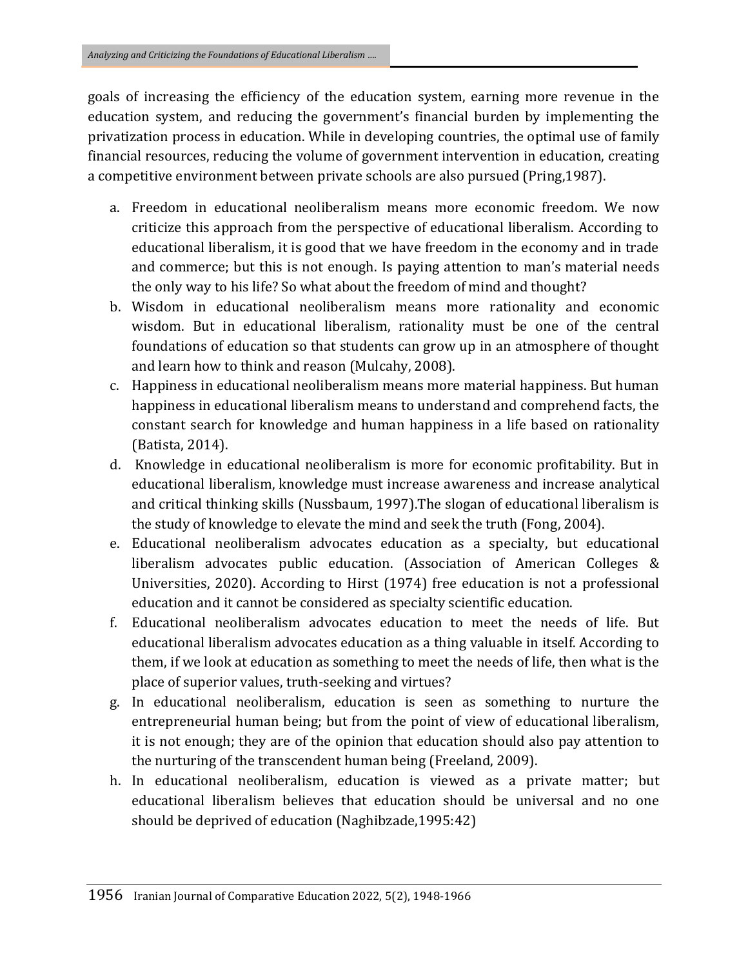goals of increasing the efficiency of the education system, earning more revenue in the education system, and reducing the government's financial burden by implementing the privatization process in education. While in developing countries, the optimal use of family financial resources, reducing the volume of government intervention in education, creating a competitive environment between private schools are also pursued (Pring,1987).

- a. Freedom in educational neoliberalism means more economic freedom. We now criticize this approach from the perspective of educational liberalism. According to educational liberalism, it is good that we have freedom in the economy and in trade and commerce; but this is not enough. Is paying attention to man's material needs the only way to his life? So what about the freedom of mind and thought?
- b. Wisdom in educational neoliberalism means more rationality and economic wisdom. But in educational liberalism, rationality must be one of the central foundations of education so that students can grow up in an atmosphere of thought and learn how to think and reason (Mulcahy, 2008).
- c. Happiness in educational neoliberalism means more material happiness. But human happiness in educational liberalism means to understand and comprehend facts, the constant search for knowledge and human happiness in a life based on rationality (Batista, 2014).
- d. Knowledge in educational neoliberalism is more for economic profitability. But in educational liberalism, knowledge must increase awareness and increase analytical and critical thinking skills (Nussbaum, 1997).The slogan of educational liberalism is the study of knowledge to elevate the mind and seek the truth (Fong, 2004).
- e. Educational neoliberalism advocates education as a specialty, but educational liberalism advocates public education. (Association of American Colleges & Universities, 2020). According to Hirst (1974) free education is not a professional education and it cannot be considered as specialty scientific education.
- f. Educational neoliberalism advocates education to meet the needs of life. But educational liberalism advocates education as a thing valuable in itself. According to them, if we look at education as something to meet the needs of life, then what is the place of superior values, truth-seeking and virtues?
- g. In educational neoliberalism, education is seen as something to nurture the entrepreneurial human being; but from the point of view of educational liberalism, it is not enough; they are of the opinion that education should also pay attention to the nurturing of the transcendent human being (Freeland, 2009).
- h. In educational neoliberalism, education is viewed as a private matter; but educational liberalism believes that education should be universal and no one should be deprived of education (Naghibzade,1995:42)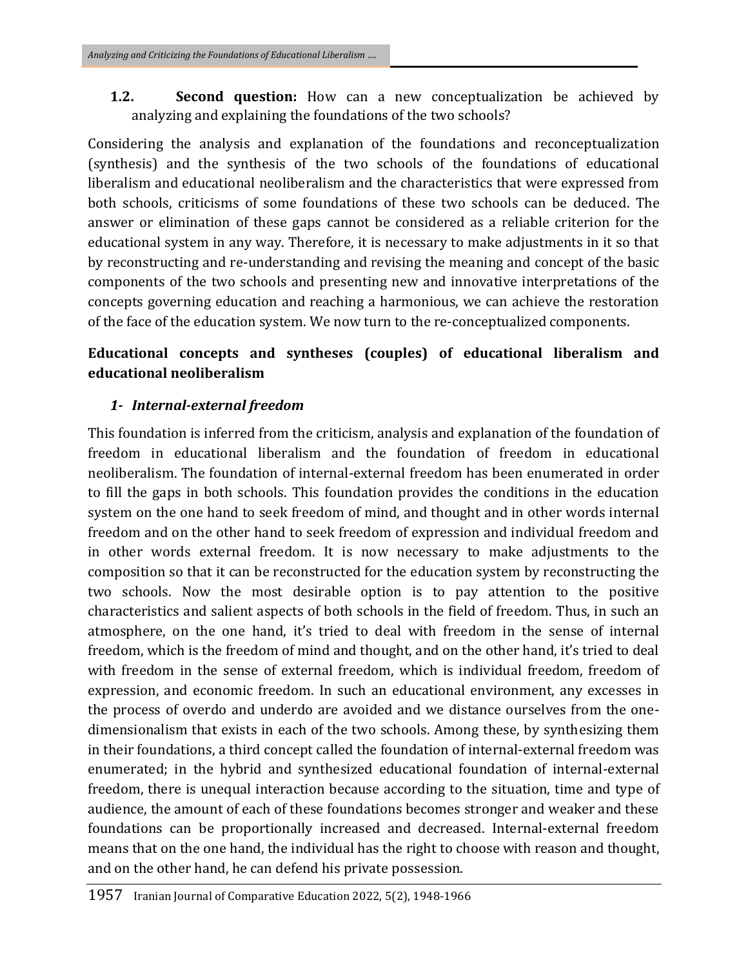**1.2. Second question:** How can a new conceptualization be achieved by analyzing and explaining the foundations of the two schools?

Considering the analysis and explanation of the foundations and reconceptualization (synthesis) and the synthesis of the two schools of the foundations of educational liberalism and educational neoliberalism and the characteristics that were expressed from both schools, criticisms of some foundations of these two schools can be deduced. The answer or elimination of these gaps cannot be considered as a reliable criterion for the educational system in any way. Therefore, it is necessary to make adjustments in it so that by reconstructing and re-understanding and revising the meaning and concept of the basic components of the two schools and presenting new and innovative interpretations of the concepts governing education and reaching a harmonious, we can achieve the restoration of the face of the education system. We now turn to the re-conceptualized components.

## **Educational concepts and syntheses (couples) of educational liberalism and educational neoliberalism**

### *1- Internal-external freedom*

This foundation is inferred from the criticism, analysis and explanation of the foundation of freedom in educational liberalism and the foundation of freedom in educational neoliberalism. The foundation of internal-external freedom has been enumerated in order to fill the gaps in both schools. This foundation provides the conditions in the education system on the one hand to seek freedom of mind, and thought and in other words internal freedom and on the other hand to seek freedom of expression and individual freedom and in other words external freedom. It is now necessary to make adjustments to the composition so that it can be reconstructed for the education system by reconstructing the two schools. Now the most desirable option is to pay attention to the positive characteristics and salient aspects of both schools in the field of freedom. Thus, in such an atmosphere, on the one hand, it's tried to deal with freedom in the sense of internal freedom, which is the freedom of mind and thought, and on the other hand, it's tried to deal with freedom in the sense of external freedom, which is individual freedom, freedom of expression, and economic freedom. In such an educational environment, any excesses in the process of overdo and underdo are avoided and we distance ourselves from the onedimensionalism that exists in each of the two schools. Among these, by synthesizing them in their foundations, a third concept called the foundation of internal-external freedom was enumerated; in the hybrid and synthesized educational foundation of internal-external freedom, there is unequal interaction because according to the situation, time and type of audience, the amount of each of these foundations becomes stronger and weaker and these foundations can be proportionally increased and decreased. Internal-external freedom means that on the one hand, the individual has the right to choose with reason and thought, and on the other hand, he can defend his private possession.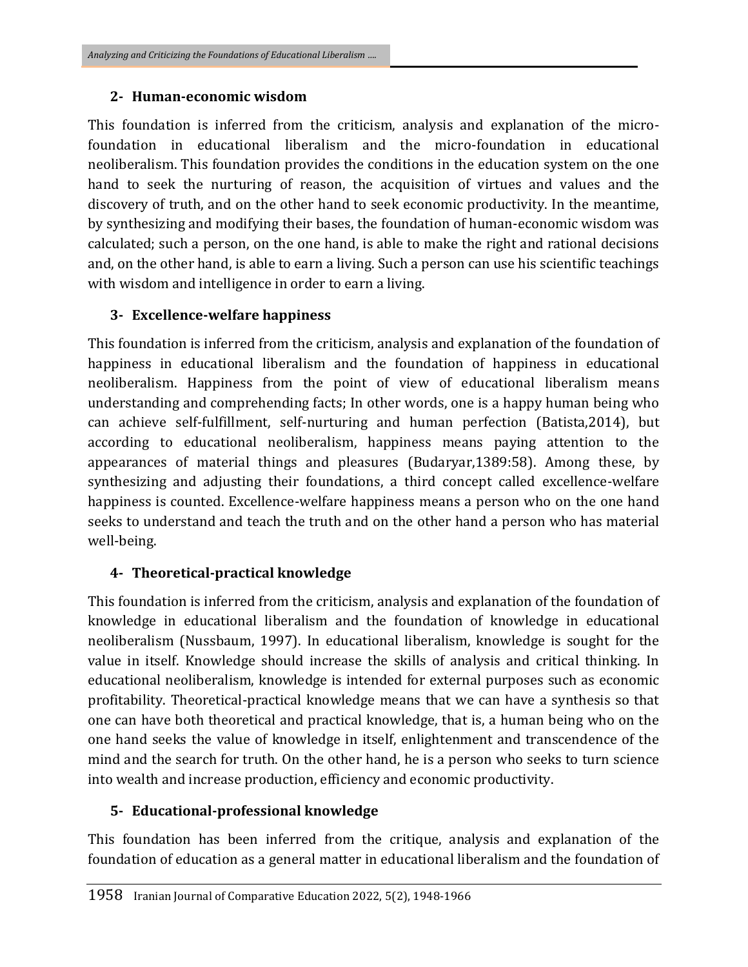#### **2- Human-economic wisdom**

This foundation is inferred from the criticism, analysis and explanation of the microfoundation in educational liberalism and the micro-foundation in educational neoliberalism. This foundation provides the conditions in the education system on the one hand to seek the nurturing of reason, the acquisition of virtues and values and the discovery of truth, and on the other hand to seek economic productivity. In the meantime, by synthesizing and modifying their bases, the foundation of human-economic wisdom was calculated; such a person, on the one hand, is able to make the right and rational decisions and, on the other hand, is able to earn a living. Such a person can use his scientific teachings with wisdom and intelligence in order to earn a living.

### **3- Excellence-welfare happiness**

This foundation is inferred from the criticism, analysis and explanation of the foundation of happiness in educational liberalism and the foundation of happiness in educational neoliberalism. Happiness from the point of view of educational liberalism means understanding and comprehending facts; In other words, one is a happy human being who can achieve self-fulfillment, self-nurturing and human perfection (Batista,2014), but according to educational neoliberalism, happiness means paying attention to the appearances of material things and pleasures (Budaryar,1389:58). Among these, by synthesizing and adjusting their foundations, a third concept called excellence-welfare happiness is counted. Excellence-welfare happiness means a person who on the one hand seeks to understand and teach the truth and on the other hand a person who has material well-being.

### **4- Theoretical-practical knowledge**

This foundation is inferred from the criticism, analysis and explanation of the foundation of knowledge in educational liberalism and the foundation of knowledge in educational neoliberalism (Nussbaum, 1997). In educational liberalism, knowledge is sought for the value in itself. Knowledge should increase the skills of analysis and critical thinking. In educational neoliberalism, knowledge is intended for external purposes such as economic profitability. Theoretical-practical knowledge means that we can have a synthesis so that one can have both theoretical and practical knowledge, that is, a human being who on the one hand seeks the value of knowledge in itself, enlightenment and transcendence of the mind and the search for truth. On the other hand, he is a person who seeks to turn science into wealth and increase production, efficiency and economic productivity.

#### **5- Educational-professional knowledge**

This foundation has been inferred from the critique, analysis and explanation of the foundation of education as a general matter in educational liberalism and the foundation of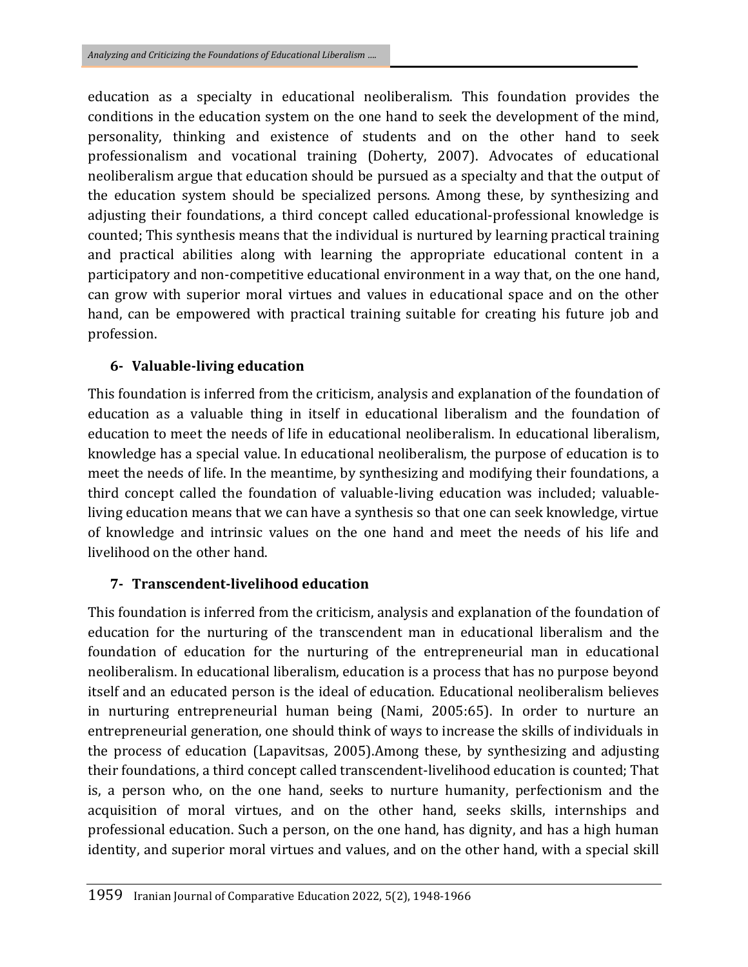education as a specialty in educational neoliberalism. This foundation provides the conditions in the education system on the one hand to seek the development of the mind, personality, thinking and existence of students and on the other hand to seek professionalism and vocational training (Doherty, 2007). Advocates of educational neoliberalism argue that education should be pursued as a specialty and that the output of the education system should be specialized persons. Among these, by synthesizing and adjusting their foundations, a third concept called educational-professional knowledge is counted; This synthesis means that the individual is nurtured by learning practical training and practical abilities along with learning the appropriate educational content in a participatory and non-competitive educational environment in a way that, on the one hand, can grow with superior moral virtues and values in educational space and on the other hand, can be empowered with practical training suitable for creating his future job and profession.

### **6- Valuable-living education**

This foundation is inferred from the criticism, analysis and explanation of the foundation of education as a valuable thing in itself in educational liberalism and the foundation of education to meet the needs of life in educational neoliberalism. In educational liberalism, knowledge has a special value. In educational neoliberalism, the purpose of education is to meet the needs of life. In the meantime, by synthesizing and modifying their foundations, a third concept called the foundation of valuable-living education was included; valuableliving education means that we can have a synthesis so that one can seek knowledge, virtue of knowledge and intrinsic values on the one hand and meet the needs of his life and livelihood on the other hand.

### **7- Transcendent-livelihood education**

This foundation is inferred from the criticism, analysis and explanation of the foundation of education for the nurturing of the transcendent man in educational liberalism and the foundation of education for the nurturing of the entrepreneurial man in educational neoliberalism. In educational liberalism, education is a process that has no purpose beyond itself and an educated person is the ideal of education. Educational neoliberalism believes in nurturing entrepreneurial human being (Nami, 2005:65). In order to nurture an entrepreneurial generation, one should think of ways to increase the skills of individuals in the process of education (Lapavitsas, 2005).Among these, by synthesizing and adjusting their foundations, a third concept called transcendent-livelihood education is counted; That is, a person who, on the one hand, seeks to nurture humanity, perfectionism and the acquisition of moral virtues, and on the other hand, seeks skills, internships and professional education. Such a person, on the one hand, has dignity, and has a high human identity, and superior moral virtues and values, and on the other hand, with a special skill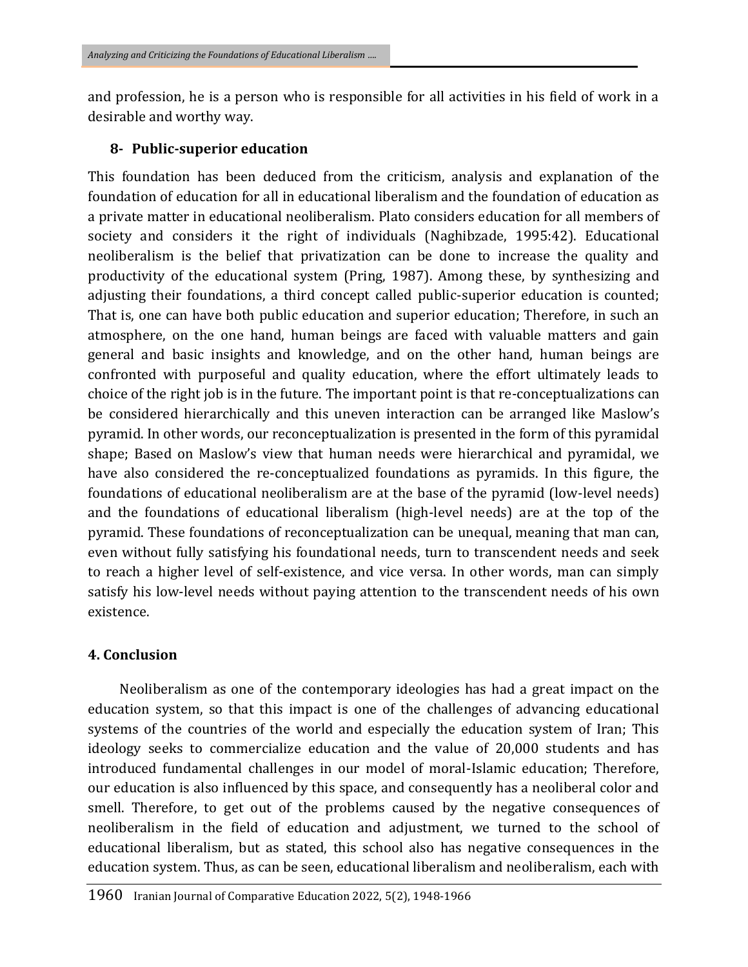and profession, he is a person who is responsible for all activities in his field of work in a desirable and worthy way.

#### **8- Public-superior education**

This foundation has been deduced from the criticism, analysis and explanation of the foundation of education for all in educational liberalism and the foundation of education as a private matter in educational neoliberalism. Plato considers education for all members of society and considers it the right of individuals (Naghibzade, 1995:42). Educational neoliberalism is the belief that privatization can be done to increase the quality and productivity of the educational system (Pring, 1987). Among these, by synthesizing and adjusting their foundations, a third concept called public-superior education is counted; That is, one can have both public education and superior education; Therefore, in such an atmosphere, on the one hand, human beings are faced with valuable matters and gain general and basic insights and knowledge, and on the other hand, human beings are confronted with purposeful and quality education, where the effort ultimately leads to choice of the right job is in the future. The important point is that re-conceptualizations can be considered hierarchically and this uneven interaction can be arranged like Maslow's pyramid. In other words, our reconceptualization is presented in the form of this pyramidal shape; Based on Maslow's view that human needs were hierarchical and pyramidal, we have also considered the re-conceptualized foundations as pyramids. In this figure, the foundations of educational neoliberalism are at the base of the pyramid (low-level needs) and the foundations of educational liberalism (high-level needs) are at the top of the pyramid. These foundations of reconceptualization can be unequal, meaning that man can, even without fully satisfying his foundational needs, turn to transcendent needs and seek to reach a higher level of self-existence, and vice versa. In other words, man can simply satisfy his low-level needs without paying attention to the transcendent needs of his own existence.

### **4. Conclusion**

Neoliberalism as one of the contemporary ideologies has had a great impact on the education system, so that this impact is one of the challenges of advancing educational systems of the countries of the world and especially the education system of Iran; This ideology seeks to commercialize education and the value of 20,000 students and has introduced fundamental challenges in our model of moral-Islamic education; Therefore, our education is also influenced by this space, and consequently has a neoliberal color and smell. Therefore, to get out of the problems caused by the negative consequences of neoliberalism in the field of education and adjustment, we turned to the school of educational liberalism, but as stated, this school also has negative consequences in the education system. Thus, as can be seen, educational liberalism and neoliberalism, each with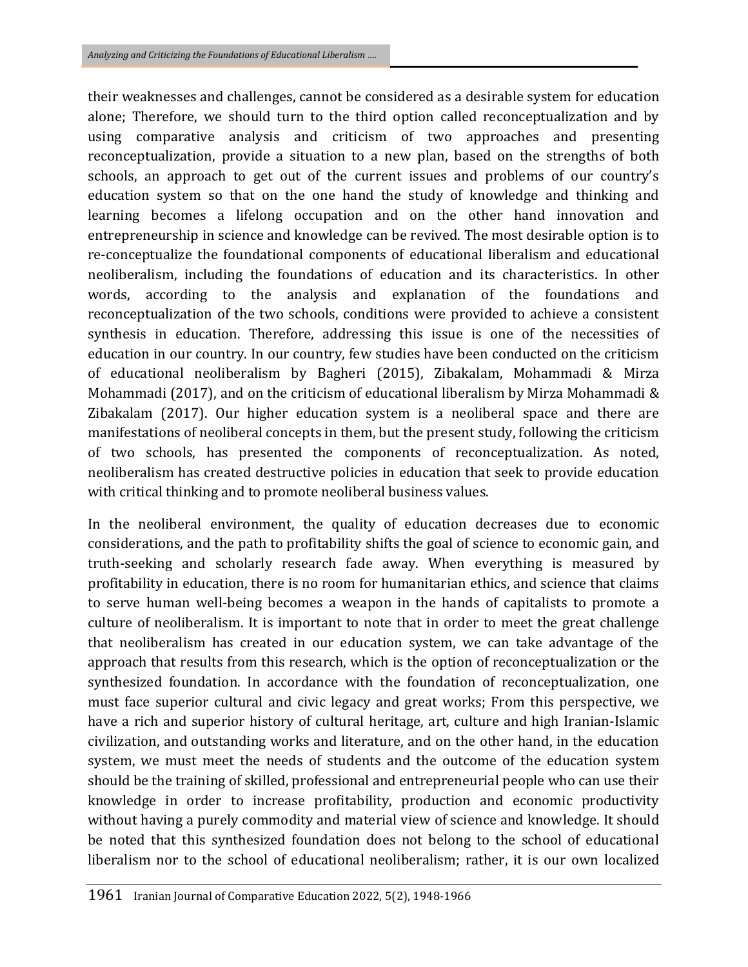their weaknesses and challenges, cannot be considered as a desirable system for education alone; Therefore, we should turn to the third option called reconceptualization and by using comparative analysis and criticism of two approaches and presenting reconceptualization, provide a situation to a new plan, based on the strengths of both schools, an approach to get out of the current issues and problems of our country's education system so that on the one hand the study of knowledge and thinking and learning becomes a lifelong occupation and on the other hand innovation and entrepreneurship in science and knowledge can be revived. The most desirable option is to re-conceptualize the foundational components of educational liberalism and educational neoliberalism, including the foundations of education and its characteristics. In other words, according to the analysis and explanation of the foundations and reconceptualization of the two schools, conditions were provided to achieve a consistent synthesis in education. Therefore, addressing this issue is one of the necessities of education in our country. In our country, few studies have been conducted on the criticism of educational neoliberalism by Bagheri (2015), Zibakalam, Mohammadi & Mirza Mohammadi (2017), and on the criticism of educational liberalism by Mirza Mohammadi & Zibakalam (2017). Our higher education system is a neoliberal space and there are manifestations of neoliberal concepts in them, but the present study, following the criticism of two schools, has presented the components of reconceptualization. As noted, neoliberalism has created destructive policies in education that seek to provide education with critical thinking and to promote neoliberal business values.

In the neoliberal environment, the quality of education decreases due to economic considerations, and the path to profitability shifts the goal of science to economic gain, and truth-seeking and scholarly research fade away. When everything is measured by profitability in education, there is no room for humanitarian ethics, and science that claims to serve human well-being becomes a weapon in the hands of capitalists to promote a culture of neoliberalism. It is important to note that in order to meet the great challenge that neoliberalism has created in our education system, we can take advantage of the approach that results from this research, which is the option of reconceptualization or the synthesized foundation. In accordance with the foundation of reconceptualization, one must face superior cultural and civic legacy and great works; From this perspective, we have a rich and superior history of cultural heritage, art, culture and high Iranian-Islamic civilization, and outstanding works and literature, and on the other hand, in the education system, we must meet the needs of students and the outcome of the education system should be the training of skilled, professional and entrepreneurial people who can use their knowledge in order to increase profitability, production and economic productivity without having a purely commodity and material view of science and knowledge. It should be noted that this synthesized foundation does not belong to the school of educational liberalism nor to the school of educational neoliberalism; rather, it is our own localized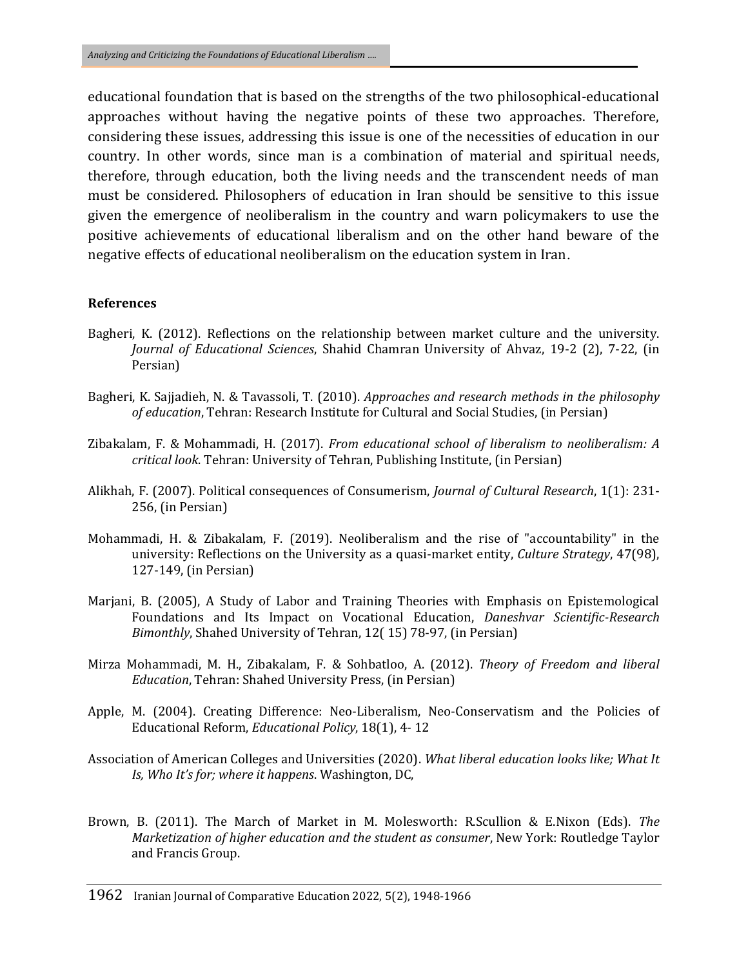educational foundation that is based on the strengths of the two philosophical-educational approaches without having the negative points of these two approaches. Therefore, considering these issues, addressing this issue is one of the necessities of education in our country. In other words, since man is a combination of material and spiritual needs, therefore, through education, both the living needs and the transcendent needs of man must be considered. Philosophers of education in Iran should be sensitive to this issue given the emergence of neoliberalism in the country and warn policymakers to use the positive achievements of educational liberalism and on the other hand beware of the negative effects of educational neoliberalism on the education system in Iran.

#### **References**

- Bagheri, K. (2012). Reflections on the relationship between market culture and the university. *Journal of Educational Sciences*, Shahid Chamran University of Ahvaz, 19-2 (2), 7-22, (in Persian)
- Bagheri, K. Sajjadieh, N. & Tavassoli, T. (2010). *Approaches and research methods in the philosophy of education*, Tehran: Research Institute for Cultural and Social Studies, (in Persian)
- Zibakalam, F. & Mohammadi, H. (2017). *From educational school of liberalism to neoliberalism: A critical look*. Tehran: University of Tehran, Publishing Institute, (in Persian)
- Alikhah, F. (2007). Political consequences of Consumerism, *Journal of Cultural Research*, 1(1): 231- 256, (in Persian)
- Mohammadi, H. & Zibakalam, F. (2019). Neoliberalism and the rise of "accountability" in the university: Reflections on the University as a quasi-market entity, *Culture Strategy*, 47(98), 127-149, (in Persian)
- Marjani, B. (2005), A Study of Labor and Training Theories with Emphasis on Epistemological Foundations and Its Impact on Vocational Education, *Daneshvar Scientific-Research Bimonthly*, Shahed University of Tehran, 12( 15) 78-97, (in Persian)
- Mirza Mohammadi, M. H., Zibakalam, F. & Sohbatloo, A. (2012). *Theory of Freedom and liberal Education*, Tehran: Shahed University Press, (in Persian)
- Apple, M. (2004). Creating Difference: Neo-Liberalism, Neo-Conservatism and the Policies of Educational Reform, *Educational Policy*, 18(1), 4- 12
- Association of American Colleges and Universities (2020). *What liberal education looks like; What It Is, Who It's for; where it happens*. Washington, DC,
- Brown, B. (2011). The March of Market in M. Molesworth: R.Scullion & E.Nixon (Eds). *The Marketization of higher education and the student as consumer*, New York: Routledge Taylor and Francis Group.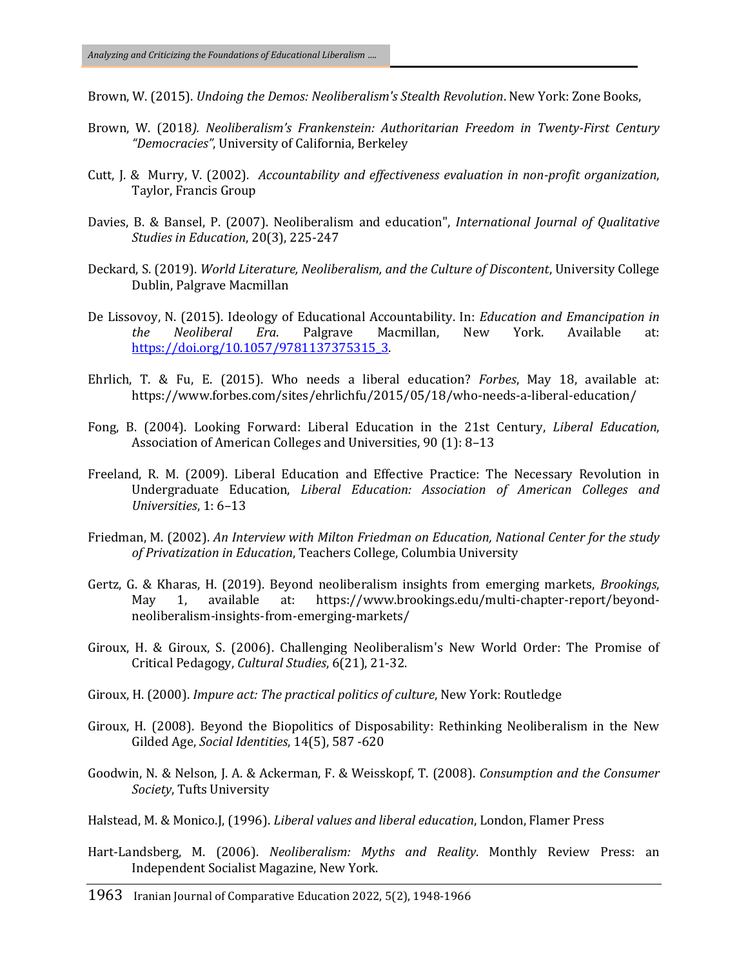Brown, W. (2015). *Undoing the Demos: Neoliberalism's Stealth Revolution*. New York: Zone Books,

- Brown, W. (2018*). Neoliberalism's Frankenstein: Authoritarian Freedom in Twenty-First Century "Democracies"*, University of California, Berkeley
- Cutt, J. & Murry, V. (2002). *Accountability and effectiveness evaluation in non-profit organization*, Taylor, Francis Group
- Davies, B. & Bansel, P. (2007). Neoliberalism and education", *International Journal of Qualitative Studies in Education*, 20(3), 225-247
- Deckard, S. (2019). *World Literature, Neoliberalism, and the Culture of Discontent*, University College Dublin, Palgrave Macmillan
- De Lissovoy, N. (2015). Ideology of Educational Accountability. In: *Education and Emancipation in the Neoliberal Era*. Palgrave Macmillan, New York. Available at: [https://doi.org/10.1057/9781137375315\\_3.](https://doi.org/10.1057/9781137375315_3)
- Ehrlich, T. & Fu, E. (2015). Who needs a liberal education? *Forbes*, May 18, available at: https://www.forbes.com/sites/ehrlichfu/2015/05/18/who-needs-a-liberal-education/
- Fong, B. (2004). Looking Forward: Liberal Education in the 21st Century, *Liberal Education*, Association of American Colleges and Universities, 90 (1): 8–13
- Freeland, R. M. (2009). Liberal Education and Effective Practice: The Necessary Revolution in Undergraduate Education, *Liberal Education: Association of American Colleges and Universities*, 1: 6–13
- Friedman, M. (2002). *An Interview with Milton Friedman on Education, National Center for the study of Privatization in Education*, Teachers College, Columbia University
- Gertz, G. & Kharas, H. (2019). Beyond neoliberalism insights from emerging markets, *Brookings*, May 1, available at: https://www.brookings.edu/multi-chapter-report/beyondneoliberalism-insights-from-emerging-markets/
- Giroux, H. & Giroux, S. (2006). Challenging Neoliberalism's New World Order: The Promise of Critical Pedagogy, *Cultural Studies*, 6(21), 21-32.
- Giroux, H. (2000). *Impure act: The practical politics of culture*, New York: Routledge
- Giroux, H. (2008). Beyond the Biopolitics of Disposability: Rethinking Neoliberalism in the New Gilded Age, *Social Identities*, 14(5), 587 -620
- Goodwin, N. & Nelson, J. A. & Ackerman, F. & Weisskopf, T. (2008). *Consumption and the Consumer Society*, Tufts University
- Halstead, M. & Monico.J, (1996). *Liberal values and liberal education*, London, Flamer Press
- Hart-Landsberg, M. (2006). *Neoliberalism: Myths and Reality*. Monthly Review Press: an Independent Socialist Magazine, New York.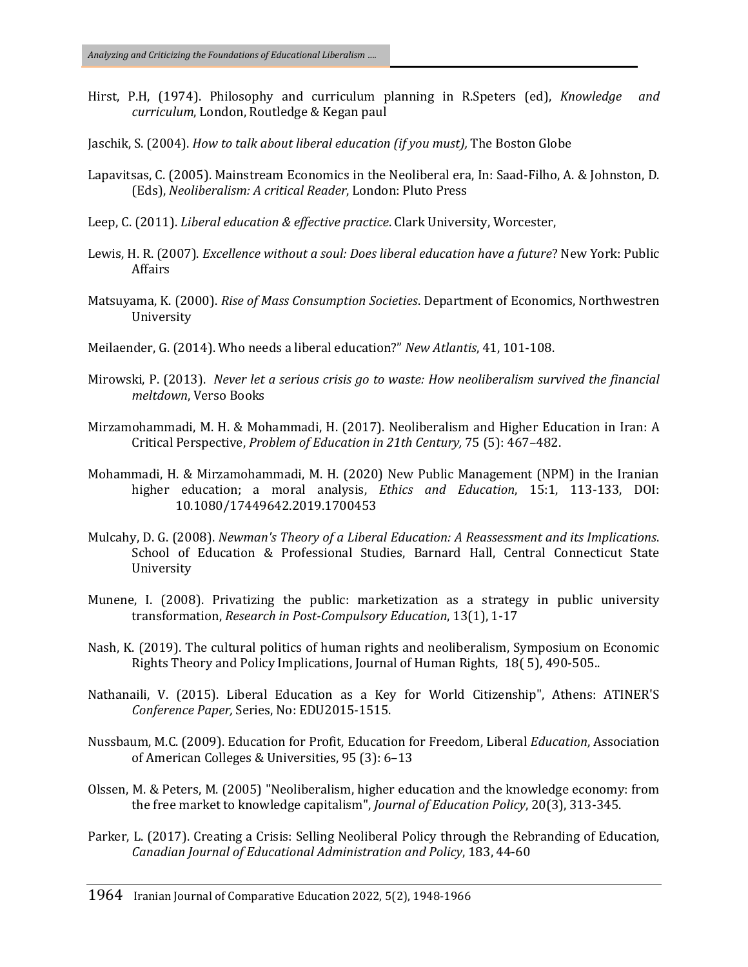- Hirst, P.H, (1974). Philosophy and curriculum planning in R.Speters (ed), *Knowledge and curriculum*, London, Routledge & Kegan paul
- Jaschik, S. (2004). *How to talk about liberal education (if you must),* The Boston Globe
- Lapavitsas, C. (2005). Mainstream Economics in the Neoliberal era, In: Saad-Filho, A. & Johnston, D. (Eds), *Neoliberalism: A critical Reader*, London: Pluto Press
- Leep, C. (2011). *Liberal education & effective practice*. Clark University, Worcester,
- Lewis, H. R. (2007). *Excellence without a soul: Does liberal education have a future*? New York: Public Affairs
- Matsuyama, K. (2000). *Rise of Mass Consumption Societies*. Department of Economics, Northwestren University
- Meilaender, G. (2014). Who needs a liberal education?" *New Atlantis*, 41, 101-108.
- Mirowski, P. (2013). *Never let a serious crisis go to waste: How neoliberalism survived the financial meltdown*, Verso Books
- Mirzamohammadi, M. H. & Mohammadi, H. (2017). Neoliberalism and Higher Education in Iran: A Critical Perspective, *Problem of Education in 21th Century,* 75 (5): 467–482.
- Mohammadi, H. & Mirzamohammadi, M. H. (2020) New Public Management (NPM) in the Iranian higher education; a moral analysis, *Ethics and Education*, 15:1, 113-133, DOI: 10.1080/17449642.2019.1700453
- Mulcahy, D. G. (2008). *Newman's Theory of a Liberal Education: A Reassessment and its Implications*. School of Education & Professional Studies, Barnard Hall, Central Connecticut State University
- Munene, I. (2008). Privatizing the public: marketization as a strategy in public university transformation, *Research in Post-Compulsory Education*, 13(1), 1-17
- Nash, K. (2019). The cultural politics of human rights and neoliberalism, Symposium on Economic Rights Theory and Policy Implications, Journal of Human Rights, 18( 5), 490-505..
- Nathanaili, V. (2015). Liberal Education as a Key for World Citizenship", Athens: ATINER'S *Conference Paper,* Series, No: EDU2015-1515.
- Nussbaum, M.C. (2009). Education for Profit, Education for Freedom, Liberal *Education*, Association of American Colleges & Universities, 95 (3): 6–13
- Olssen, M. & Peters, M. (2005) "Neoliberalism, higher education and the knowledge economy: from the free market to knowledge capitalism", *Journal of Education Policy*, 20(3), 313-345.
- Parker, L. (2017). Creating a Crisis: Selling Neoliberal Policy through the Rebranding of Education, *Canadian Journal of Educational Administration and Policy*, 183, 44-60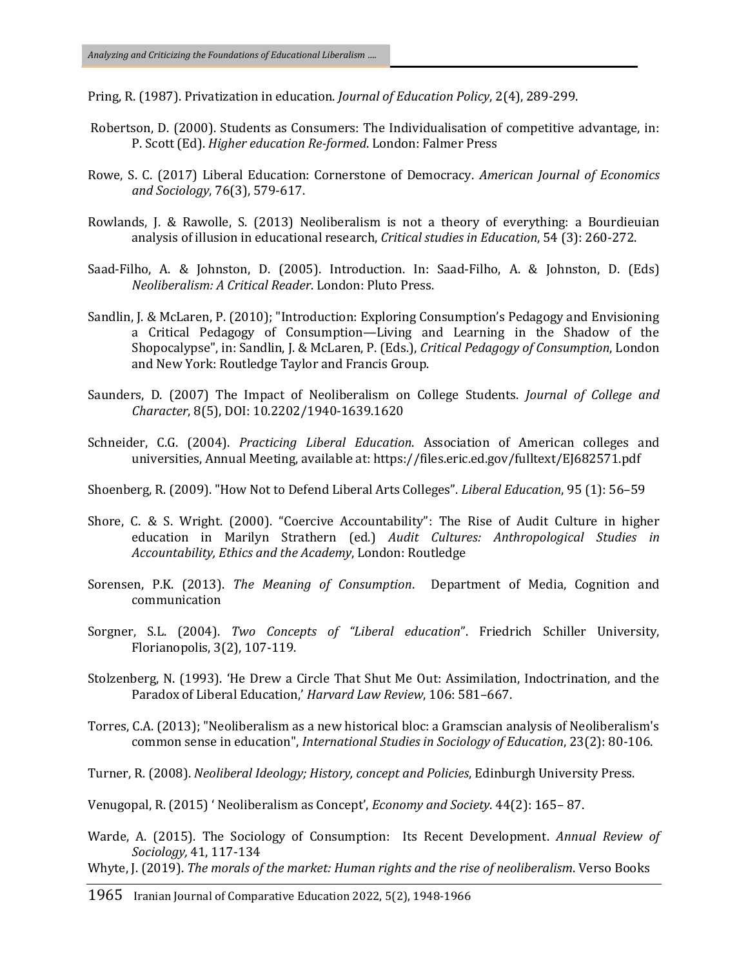Pring, R. (1987). Privatization in education. *Journal of Education Policy*, 2(4), 289-299.

- Robertson, D. (2000). Students as Consumers: The Individualisation of competitive advantage, in: P. Scott (Ed). *Higher education Re-formed*. London: Falmer Press
- Rowe, S. C. (2017) Liberal Education: Cornerstone of Democracy. *American Journal of Economics and Sociology*, 76(3), 579-617.
- Rowlands, J. & Rawolle, S. (2013) Neoliberalism is not a theory of everything: a Bourdieuian analysis of illusion in educational research, *Critical studies in Education*, 54 (3): 260-272.
- Saad-Filho, A. & Johnston, D. (2005). Introduction. In: Saad-Filho, A. & Johnston, D. (Eds) *Neoliberalism: A Critical Reader*. London: Pluto Press.
- Sandlin, J. & McLaren, P. (2010); "Introduction: Exploring Consumption's Pedagogy and Envisioning a Critical Pedagogy of Consumption—Living and Learning in the Shadow of the Shopocalypse", in: Sandlin, J. & McLaren, P. (Eds.), *Critical Pedagogy of Consumption*, London and New York: Routledge Taylor and Francis Group.
- Saunders, D. (2007) The Impact of Neoliberalism on College Students. *Journal of College and Character*, 8(5), DOI: [10.2202/1940-1639.1620](https://doi.org/10.2202/1940-1639.1620)
- Schneider, C.G. (2004). *Practicing Liberal Education*. Association of American colleges and universities, Annual Meeting, available at: https://files.eric.ed.gov/fulltext/EJ682571.pdf
- Shoenberg, R. (2009). "How Not to Defend Liberal Arts Colleges". *Liberal Education*, 95 (1): 56–59
- Shore, C. & S. Wright. (2000). "Coercive Accountability": The Rise of Audit Culture in higher education in Marilyn Strathern (ed.) *Audit Cultures: Anthropological Studies in Accountability, Ethics and the Academy*, London: Routledge
- Sorensen, P.K. (2013). *The Meaning of Consumption*. Department of Media, Cognition and communication
- Sorgner, S.L. (2004). *Two Concepts of "Liberal education"*. Friedrich Schiller University, Florianopolis, 3(2), 107-119.
- Stolzenberg, N. (1993). 'He Drew a Circle That Shut Me Out: Assimilation, Indoctrination, and the Paradox of Liberal Education,' *Harvard Law Review*, 106: 581–667.
- Torres, C.A. (2013); "Neoliberalism as a new historical bloc: a Gramscian analysis of Neoliberalism's common sense in education", *International Studies in Sociology of Education*, 23(2): 80-106.
- Turner, R. (2008). *Neoliberal Ideology; History, concept and Policies*, Edinburgh University Press.
- Venugopal, R. (2015) ' Neoliberalism as Concept', *Economy and Society*. 44(2): 165– 87.
- Warde, A. (2015). The Sociology of Consumption: Its Recent Development. *Annual Review of Sociology,* 41, 117-134
- Whyte, J. (2019). *The morals of the market: Human rights and the rise of neoliberalism*. Verso Books